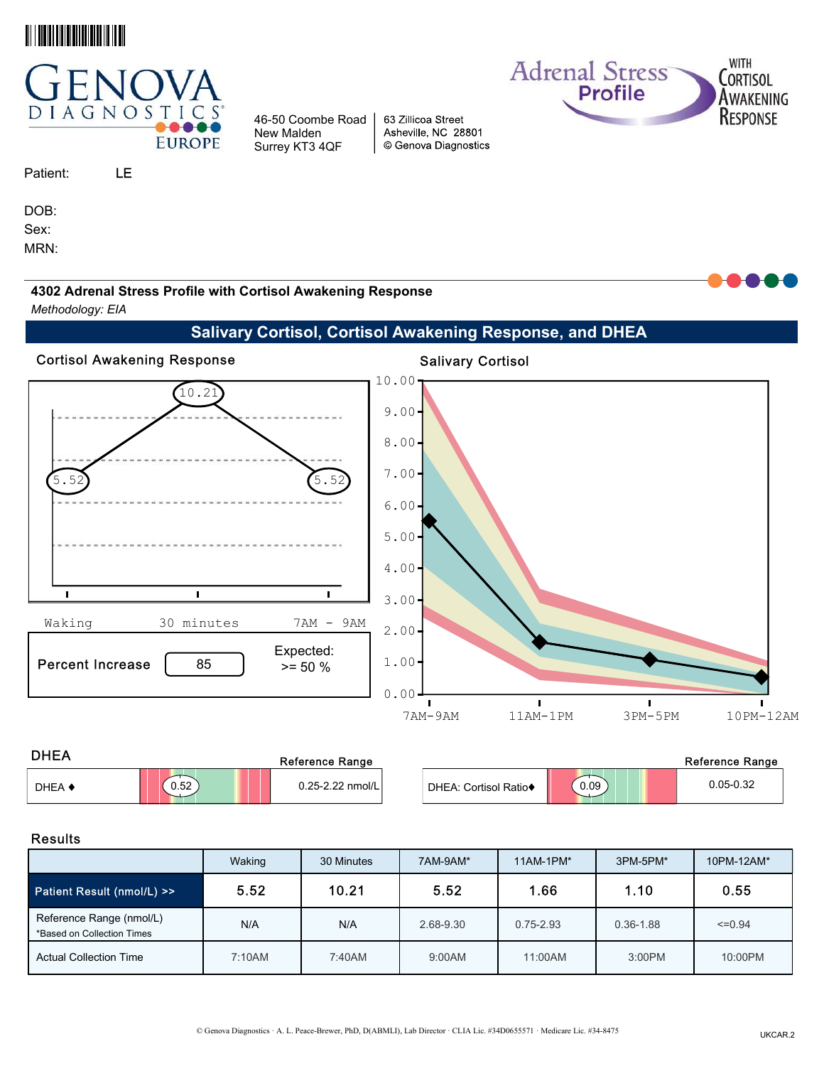



# Patient: SAMPLE

PATIENT

DOB:

Sex:

MRN:

4302 Adrenal Stress Profile with Cortisol Awakening Response

46-50 Coombe Road New Malden Surrey KT3 4QF

Methodology: EIA

Salivary Cortisol, Cortisol Awakening Response, and DHEA

63 Zillicoa Street Asheville, NC 28801

© Genova Diagnostics

**Adrenal Stress** 

**Profile** 



| <b>DHEA</b> |      | Reference Range  |                       | <b>Reference Range</b> |               |  |  |
|-------------|------|------------------|-----------------------|------------------------|---------------|--|--|
| DHEA 4      | 0.52 | 0.25-2.22 nmol/L | DHEA: Cortisol Ratio◆ | 0.09                   | $0.05 - 0.32$ |  |  |

WITH

CORTISOL

AWAKENING

RESPONSE

#### Results

|                                                        | Waking | 30 Minutes | 7AM-9AM*  | $11AM-1PM*$   | 3PM-5PM*      | 10PM-12AM*  |
|--------------------------------------------------------|--------|------------|-----------|---------------|---------------|-------------|
| Patient Result (nmol/L) >>                             | 5.52   | 10.21      | 5.52      | 1.66          | 1.10          | 0.55        |
| Reference Range (nmol/L)<br>*Based on Collection Times | N/A    | N/A        | 2.68-9.30 | $0.75 - 2.93$ | $0.36 - 1.88$ | $\leq 0.94$ |
| <b>Actual Collection Time</b>                          | 7:10AM | 7:40AM     | 9:00AM    | 11:00AM       | 3:00PM        | 10:00PM     |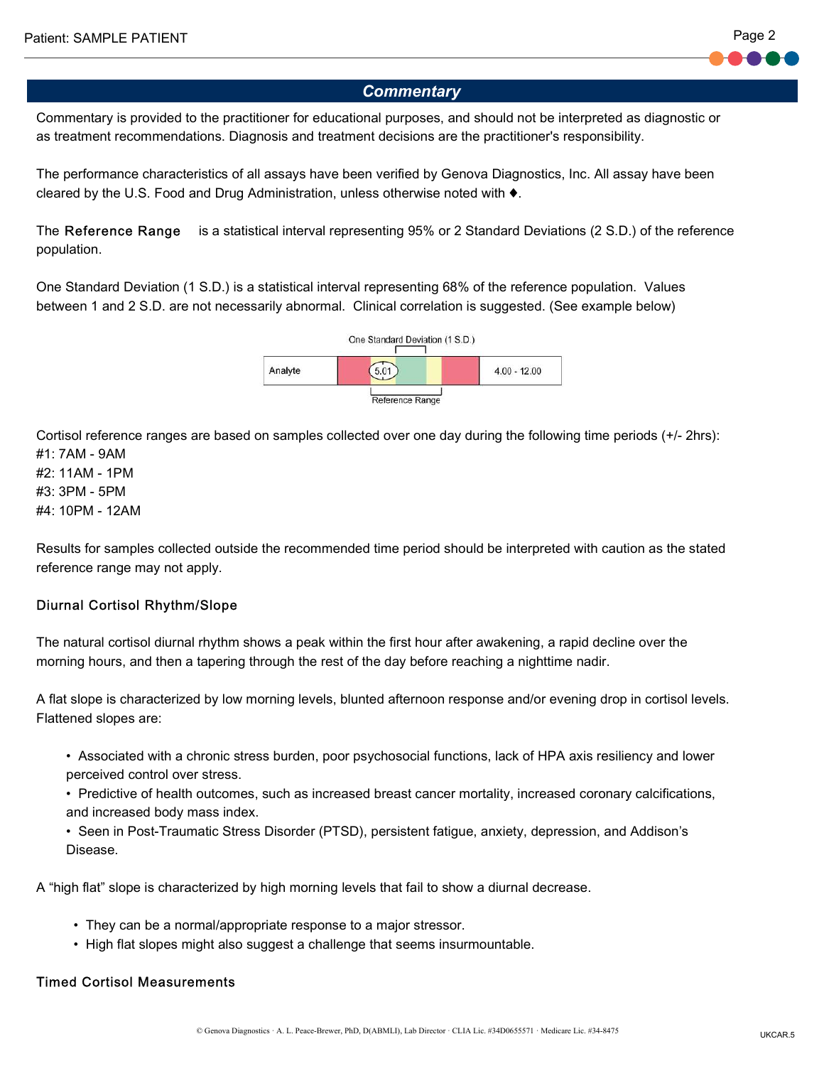

Commentary is provided to the practitioner for educational purposes, and should not be interpreted as diagnostic or as treatment recommendations. Diagnosis and treatment decisions are the practitioner's responsibility.

The performance characteristics of all assays have been verified by Genova Diagnostics, Inc. All assay have been cleared by the U.S. Food and Drug Administration, unless otherwise noted with ♦.

The Reference Range is a statistical interval representing 95% or 2 Standard Deviations (2 S.D.) of the reference population.

One Standard Deviation (1 S.D.) is a statistical interval representing 68% of the reference population. Values between 1 and 2 S.D. are not necessarily abnormal. Clinical correlation is suggested. (See example below)



Cortisol reference ranges are based on samples collected over one day during the following time periods (+/- 2hrs): #1: 7AM - 9AM

#2: 11AM - 1PM #3: 3PM - 5PM #4: 10PM - 12AM

Results for samples collected outside the recommended time period should be interpreted with caution as the stated reference range may not apply.

#### Diurnal Cortisol Rhythm/Slope

The natural cortisol diurnal rhythm shows a peak within the first hour after awakening, a rapid decline over the morning hours, and then a tapering through the rest of the day before reaching a nighttime nadir.

A flat slope is characterized by low morning levels, blunted afternoon response and/or evening drop in cortisol levels. Flattened slopes are:

- • Associated with a chronic stress burden, poor psychosocial functions, lack of HPA axis resiliency and lower perceived control over stress.
- • Predictive of health outcomes, such as increased breast cancer mortality, increased coronary calcifications, and increased body mass index.

 • Seen in Post-Traumatic Stress Disorder (PTSD), persistent fatigue, anxiety, depression, and Addison's Disease.

A "high flat" slope is characterized by high morning levels that fail to show a diurnal decrease.

- They can be a normal/appropriate response to a major stressor.
- High flat slopes might also suggest a challenge that seems insurmountable.

#### Timed Cortisol Measurements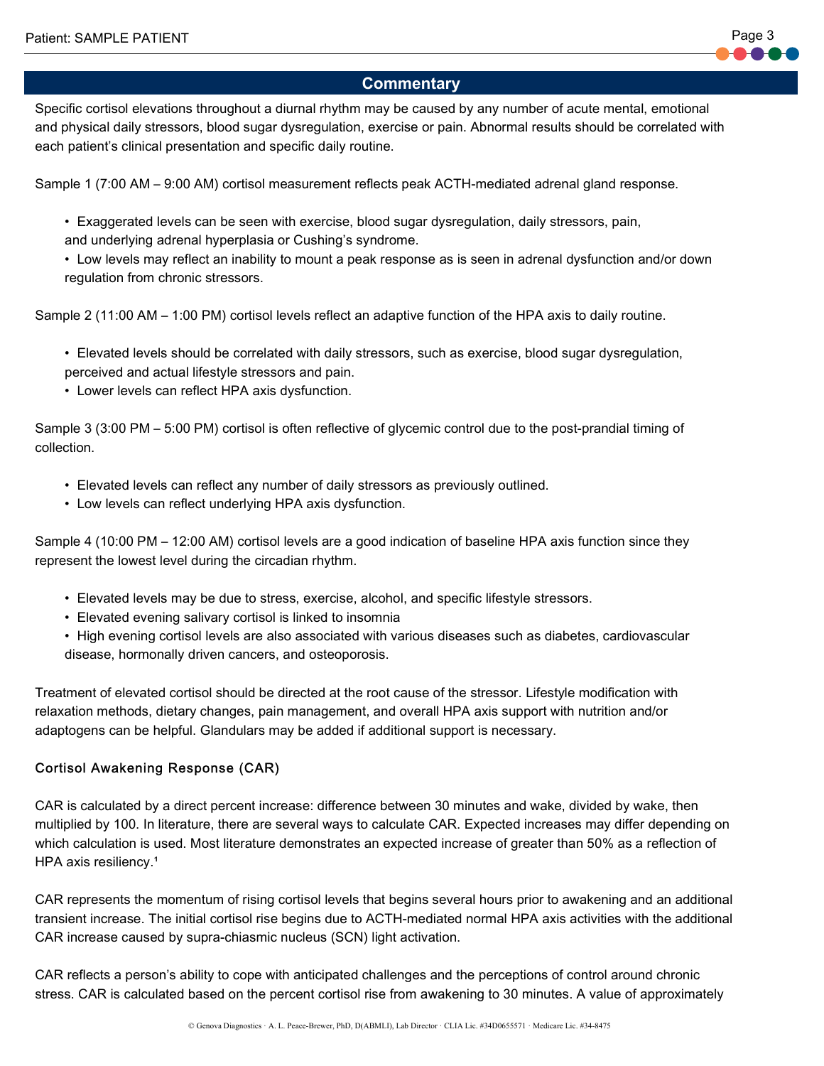Specific cortisol elevations throughout a diurnal rhythm may be caused by any number of acute mental, emotional and physical daily stressors, blood sugar dysregulation, exercise or pain. Abnormal results should be correlated with each patient's clinical presentation and specific daily routine.

Sample 1 (7:00 AM – 9:00 AM) cortisol measurement reflects peak ACTH-mediated adrenal gland response.

 • Exaggerated levels can be seen with exercise, blood sugar dysregulation, daily stressors, pain, and underlying adrenal hyperplasia or Cushing's syndrome.

 • Low levels may reflect an inability to mount a peak response as is seen in adrenal dysfunction and/or down regulation from chronic stressors.

Sample 2 (11:00 AM – 1:00 PM) cortisol levels reflect an adaptive function of the HPA axis to daily routine.

 • Elevated levels should be correlated with daily stressors, such as exercise, blood sugar dysregulation, perceived and actual lifestyle stressors and pain.

• Lower levels can reflect HPA axis dysfunction.

Sample 3 (3:00 PM – 5:00 PM) cortisol is often reflective of glycemic control due to the post-prandial timing of collection.

- Elevated levels can reflect any number of daily stressors as previously outlined.
- Low levels can reflect underlying HPA axis dysfunction.

Sample 4 (10:00 PM – 12:00 AM) cortisol levels are a good indication of baseline HPA axis function since they represent the lowest level during the circadian rhythm.

- Elevated levels may be due to stress, exercise, alcohol, and specific lifestyle stressors.
- Elevated evening salivary cortisol is linked to insomnia
- • High evening cortisol levels are also associated with various diseases such as diabetes, cardiovascular disease, hormonally driven cancers, and osteoporosis.

Treatment of elevated cortisol should be directed at the root cause of the stressor. Lifestyle modification with relaxation methods, dietary changes, pain management, and overall HPA axis support with nutrition and/or adaptogens can be helpful. Glandulars may be added if additional support is necessary.

#### Cortisol Awakening Response (CAR)

CAR is calculated by a direct percent increase: difference between 30 minutes and wake, divided by wake, then multiplied by 100. In literature, there are several ways to calculate CAR. Expected increases may differ depending on which calculation is used. Most literature demonstrates an expected increase of greater than 50% as a reflection of HPA axis resiliency.<sup>1</sup>

CAR represents the momentum of rising cortisol levels that begins several hours prior to awakening and an additional transient increase. The initial cortisol rise begins due to ACTH-mediated normal HPA axis activities with the additional CAR increase caused by supra-chiasmic nucleus (SCN) light activation.

CAR reflects a person's ability to cope with anticipated challenges and the perceptions of control around chronic stress. CAR is calculated based on the percent cortisol rise from awakening to 30 minutes. A value of approximately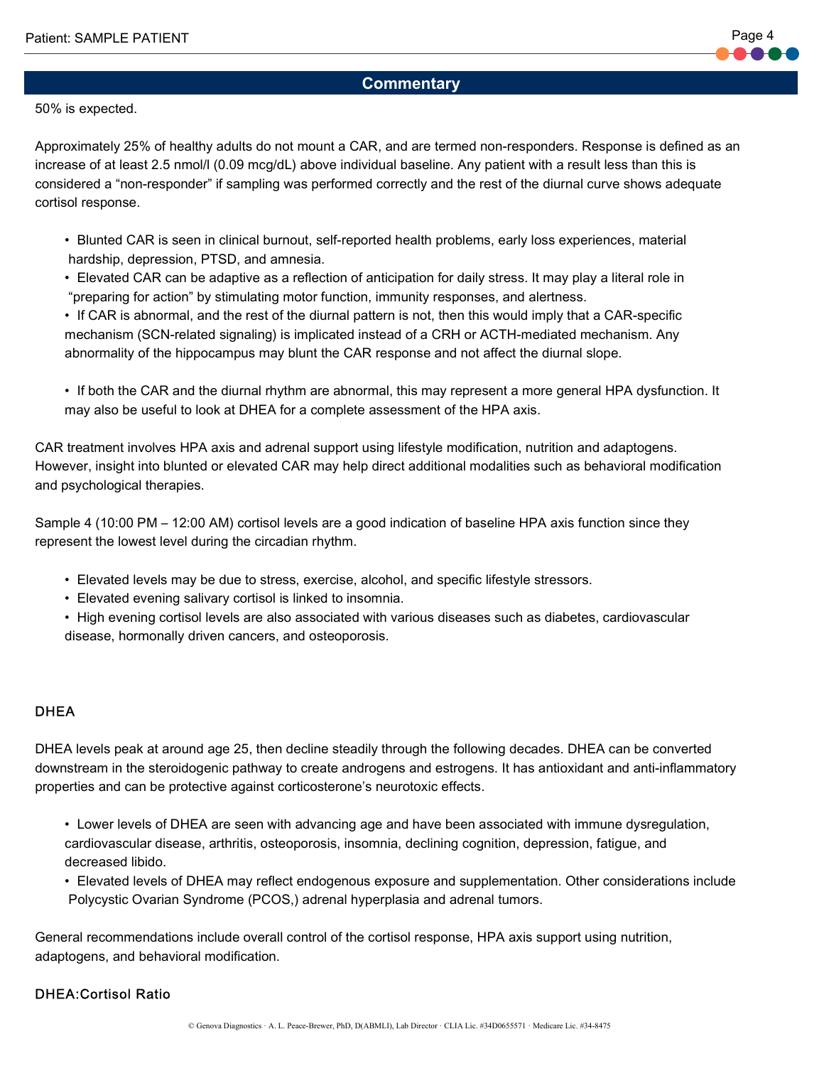#### 50% is expected.

Approximately 25% of healthy adults do not mount a CAR, and are termed non-responders. Response is defined as an increase of at least 2.5 nmol/l (0.09 mcg/dL) above individual baseline. Any patient with a result less than this is considered a "non-responder" if sampling was performed correctly and the rest of the diurnal curve shows adequate cortisol response.

- • Blunted CAR is seen in clinical burnout, self-reported health problems, early loss experiences, material hardship, depression, PTSD, and amnesia.
- • Elevated CAR can be adaptive as a reflection of anticipation for daily stress. It may play a literal role in "preparing for action" by stimulating motor function, immunity responses, and alertness.
- • If CAR is abnormal, and the rest of the diurnal pattern is not, then this would imply that a CAR-specific mechanism (SCN-related signaling) is implicated instead of a CRH or ACTH-mediated mechanism. Any abnormality of the hippocampus may blunt the CAR response and not affect the diurnal slope.
- • If both the CAR and the diurnal rhythm are abnormal, this may represent a more general HPA dysfunction. It may also be useful to look at DHEA for a complete assessment of the HPA axis.

CAR treatment involves HPA axis and adrenal support using lifestyle modification, nutrition and adaptogens. However, insight into blunted or elevated CAR may help direct additional modalities such as behavioral modification and psychological therapies.

Sample 4 (10:00 PM – 12:00 AM) cortisol levels are a good indication of baseline HPA axis function since they represent the lowest level during the circadian rhythm.

- Elevated levels may be due to stress, exercise, alcohol, and specific lifestyle stressors.
- Elevated evening salivary cortisol is linked to insomnia.
- • High evening cortisol levels are also associated with various diseases such as diabetes, cardiovascular disease, hormonally driven cancers, and osteoporosis.

#### **DHEA**

DHEA levels peak at around age 25, then decline steadily through the following decades. DHEA can be converted downstream in the steroidogenic pathway to create androgens and estrogens. It has antioxidant and anti-inflammatory properties and can be protective against corticosterone's neurotoxic effects.

- • Lower levels of DHEA are seen with advancing age and have been associated with immune dysregulation, cardiovascular disease, arthritis, osteoporosis, insomnia, declining cognition, depression, fatigue, and decreased libido.
- • Elevated levels of DHEA may reflect endogenous exposure and supplementation. Other considerations include Polycystic Ovarian Syndrome (PCOS,) adrenal hyperplasia and adrenal tumors.

General recommendations include overall control of the cortisol response, HPA axis support using nutrition, adaptogens, and behavioral modification.

#### DHEA:Cortisol Ratio